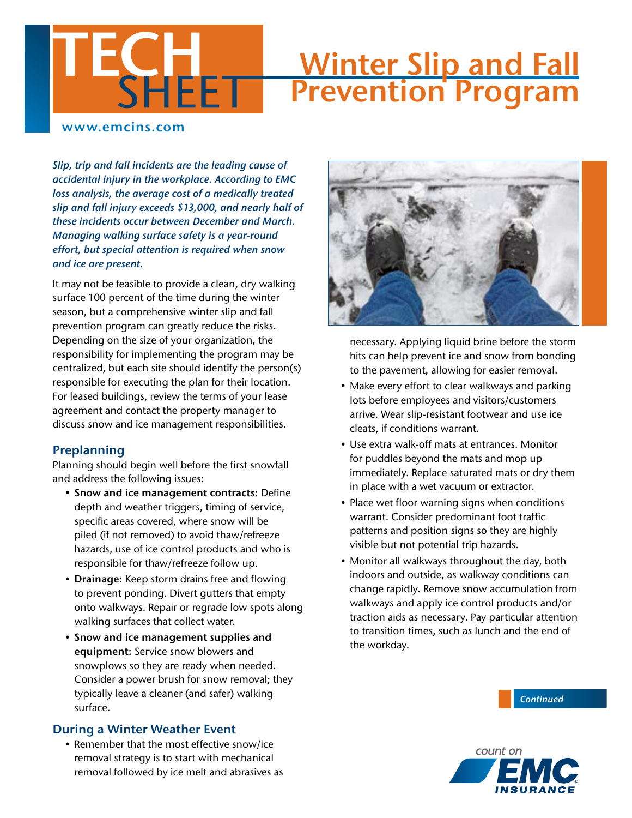## **Winter Slip and Fall** Prevention Program

### www.emcins.com

*Slip, trip and fall incidents are the leading cause of accidental injury in the workplace. According to EMC loss analysis, the average cost of a medically treated slip and fall injury exceeds \$13,000, and nearly half of these incidents occur between December and March. Managing walking surface safety is a year-round effort, but special attention is required when snow and ice are present.* 

4 E ETT

It may not be feasible to provide a clean, dry walking surface 100 percent of the time during the winter season, but a comprehensive winter slip and fall prevention program can greatly reduce the risks. Depending on the size of your organization, the responsibility for implementing the program may be centralized, but each site should identify the person(s) responsible for executing the plan for their location. For leased buildings, review the terms of your lease agreement and contact the property manager to discuss snow and ice management responsibilities.

#### Preplanning

Planning should begin well before the first snowfall and address the following issues:

- Snow and ice management contracts: Define depth and weather triggers, timing of service, specific areas covered, where snow will be piled (if not removed) to avoid thaw/refreeze hazards, use of ice control products and who is responsible for thaw/refreeze follow up.
- Drainage: Keep storm drains free and flowing to prevent ponding. Divert gutters that empty onto walkways. Repair or regrade low spots along walking surfaces that collect water.
- Snow and ice management supplies and equipment: Service snow blowers and snowplows so they are ready when needed. Consider a power brush for snow removal; they typically leave a cleaner (and safer) walking surface.

### During a Winter Weather Event

• Remember that the most effective snow/ice removal strategy is to start with mechanical removal followed by ice melt and abrasives as



necessary. Applying liquid brine before the storm hits can help prevent ice and snow from bonding to the pavement, allowing for easier removal.

- Make every effort to clear walkways and parking lots before employees and visitors/customers arrive. Wear slip-resistant footwear and use ice cleats, if conditions warrant.
- Use extra walk-off mats at entrances. Monitor for puddles beyond the mats and mop up immediately. Replace saturated mats or dry them in place with a wet vacuum or extractor.
- Place wet floor warning signs when conditions warrant. Consider predominant foot traffic patterns and position signs so they are highly visible but not potential trip hazards.
- Monitor all walkways throughout the day, both indoors and outside, as walkway conditions can change rapidly. Remove snow accumulation from walkways and apply ice control products and/or traction aids as necessary. Pay particular attention to transition times, such as lunch and the end of the workday.

*Continued*